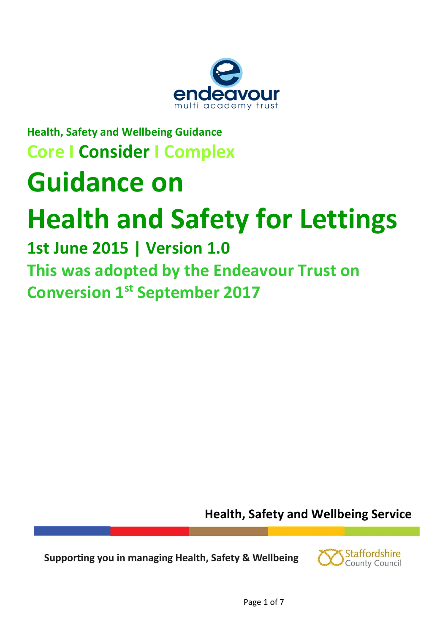

# **Health, Safety and Wellbeing Guidance Core I Consider I Complex Guidance on Health and Safety for Lettings**

# **1st June 2015 | Version 1.0 This was adopted by the Endeavour Trust on Conversion 1st September 2017**

**Health, Safety and Wellbeing Service** 

Supporting you in managing Health, Safety & Wellbeing

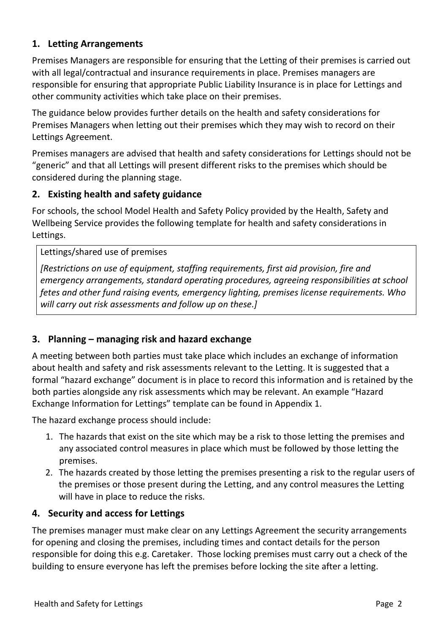#### **1. Letting Arrangements**

Premises Managers are responsible for ensuring that the Letting of their premises is carried out with all legal/contractual and insurance requirements in place. Premises managers are responsible for ensuring that appropriate Public Liability Insurance is in place for Lettings and other community activities which take place on their premises.

The guidance below provides further details on the health and safety considerations for Premises Managers when letting out their premises which they may wish to record on their Lettings Agreement.

Premises managers are advised that health and safety considerations for Lettings should not be "generic" and that all Lettings will present different risks to the premises which should be considered during the planning stage.

#### **2. Existing health and safety guidance**

For schools, the school Model Health and Safety Policy provided by the Health, Safety and Wellbeing Service provides the following template for health and safety considerations in Lettings.

#### Lettings/shared use of premises

*[Restrictions on use of equipment, staffing requirements, first aid provision, fire and emergency arrangements, standard operating procedures, agreeing responsibilities at school fetes and other fund raising events, emergency lighting, premises license requirements. Who will carry out risk assessments and follow up on these.]*

#### **3. Planning – managing risk and hazard exchange**

A meeting between both parties must take place which includes an exchange of information about health and safety and risk assessments relevant to the Letting. It is suggested that a formal "hazard exchange" document is in place to record this information and is retained by the both parties alongside any risk assessments which may be relevant. An example "Hazard Exchange Information for Lettings" template can be found in Appendix 1.

The hazard exchange process should include:

- 1. The hazards that exist on the site which may be a risk to those letting the premises and any associated control measures in place which must be followed by those letting the premises.
- 2. The hazards created by those letting the premises presenting a risk to the regular users of the premises or those present during the Letting, and any control measures the Letting will have in place to reduce the risks.

#### **4. Security and access for Lettings**

The premises manager must make clear on any Lettings Agreement the security arrangements for opening and closing the premises, including times and contact details for the person responsible for doing this e.g. Caretaker. Those locking premises must carry out a check of the building to ensure everyone has left the premises before locking the site after a letting.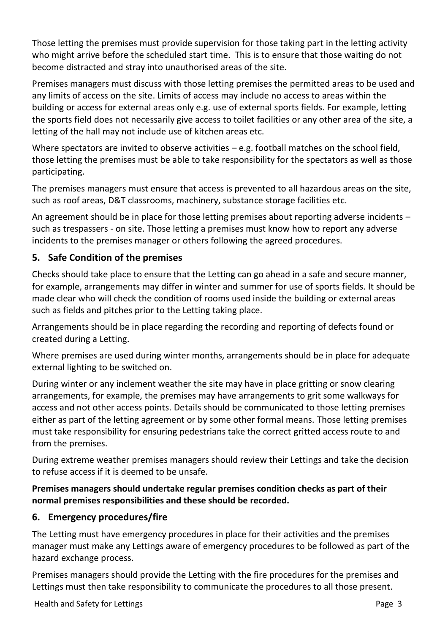Those letting the premises must provide supervision for those taking part in the letting activity who might arrive before the scheduled start time. This is to ensure that those waiting do not become distracted and stray into unauthorised areas of the site.

Premises managers must discuss with those letting premises the permitted areas to be used and any limits of access on the site. Limits of access may include no access to areas within the building or access for external areas only e.g. use of external sports fields. For example, letting the sports field does not necessarily give access to toilet facilities or any other area of the site, a letting of the hall may not include use of kitchen areas etc.

Where spectators are invited to observe activities – e.g. football matches on the school field, those letting the premises must be able to take responsibility for the spectators as well as those participating.

The premises managers must ensure that access is prevented to all hazardous areas on the site, such as roof areas, D&T classrooms, machinery, substance storage facilities etc.

An agreement should be in place for those letting premises about reporting adverse incidents – such as trespassers - on site. Those letting a premises must know how to report any adverse incidents to the premises manager or others following the agreed procedures.

# **5. Safe Condition of the premises**

Checks should take place to ensure that the Letting can go ahead in a safe and secure manner, for example, arrangements may differ in winter and summer for use of sports fields. It should be made clear who will check the condition of rooms used inside the building or external areas such as fields and pitches prior to the Letting taking place.

Arrangements should be in place regarding the recording and reporting of defects found or created during a Letting.

Where premises are used during winter months, arrangements should be in place for adequate external lighting to be switched on.

During winter or any inclement weather the site may have in place gritting or snow clearing arrangements, for example, the premises may have arrangements to grit some walkways for access and not other access points. Details should be communicated to those letting premises either as part of the letting agreement or by some other formal means. Those letting premises must take responsibility for ensuring pedestrians take the correct gritted access route to and from the premises.

During extreme weather premises managers should review their Lettings and take the decision to refuse access if it is deemed to be unsafe.

#### **Premises managers should undertake regular premises condition checks as part of their normal premises responsibilities and these should be recorded.**

# **6. Emergency procedures/fire**

The Letting must have emergency procedures in place for their activities and the premises manager must make any Lettings aware of emergency procedures to be followed as part of the hazard exchange process.

Premises managers should provide the Letting with the fire procedures for the premises and Lettings must then take responsibility to communicate the procedures to all those present.

Health and Safety for Lettings **Page 3** and  $\overline{P}$  and  $\overline{P}$  and  $\overline{P}$  and  $\overline{P}$  and  $\overline{P}$  and  $\overline{P}$  and  $\overline{P}$  and  $\overline{P}$  and  $\overline{P}$  and  $\overline{P}$  and  $\overline{P}$  and  $\overline{P}$  and  $\overline{P}$  and  $\overline{P}$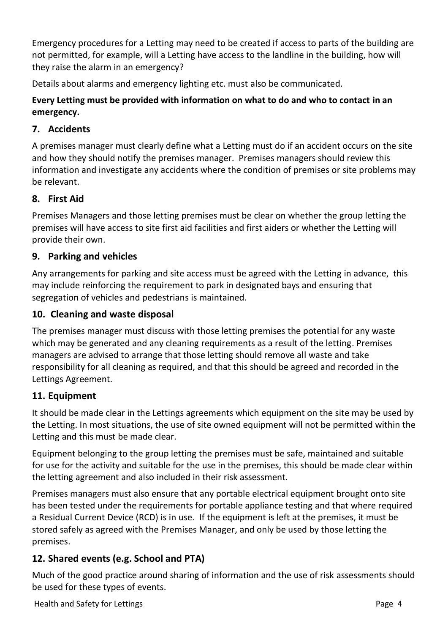Emergency procedures for a Letting may need to be created if access to parts of the building are not permitted, for example, will a Letting have access to the landline in the building, how will they raise the alarm in an emergency?

Details about alarms and emergency lighting etc. must also be communicated.

### **Every Letting must be provided with information on what to do and who to contact in an emergency.**

# **7. Accidents**

A premises manager must clearly define what a Letting must do if an accident occurs on the site and how they should notify the premises manager. Premises managers should review this information and investigate any accidents where the condition of premises or site problems may be relevant.

### **8. First Aid**

Premises Managers and those letting premises must be clear on whether the group letting the premises will have access to site first aid facilities and first aiders or whether the Letting will provide their own.

### **9. Parking and vehicles**

Any arrangements for parking and site access must be agreed with the Letting in advance, this may include reinforcing the requirement to park in designated bays and ensuring that segregation of vehicles and pedestrians is maintained.

#### **10. Cleaning and waste disposal**

The premises manager must discuss with those letting premises the potential for any waste which may be generated and any cleaning requirements as a result of the letting. Premises managers are advised to arrange that those letting should remove all waste and take responsibility for all cleaning as required, and that this should be agreed and recorded in the Lettings Agreement.

#### **11. Equipment**

It should be made clear in the Lettings agreements which equipment on the site may be used by the Letting. In most situations, the use of site owned equipment will not be permitted within the Letting and this must be made clear.

Equipment belonging to the group letting the premises must be safe, maintained and suitable for use for the activity and suitable for the use in the premises, this should be made clear within the letting agreement and also included in their risk assessment.

Premises managers must also ensure that any portable electrical equipment brought onto site has been tested under the requirements for portable appliance testing and that where required a Residual Current Device (RCD) is in use. If the equipment is left at the premises, it must be stored safely as agreed with the Premises Manager, and only be used by those letting the premises.

# **12. Shared events (e.g. School and PTA)**

Much of the good practice around sharing of information and the use of risk assessments should be used for these types of events.

Health and Safety for Lettings **Page 4** and Safety for Lettings **Page 4** and Page 4 and Page 4 and Page 4 and Page 4 and Page 4 and Page 4 and Page 4 and Page 4 and Page 4 and Page 4 and Page 4 and Page 4 and Page 4 and Pa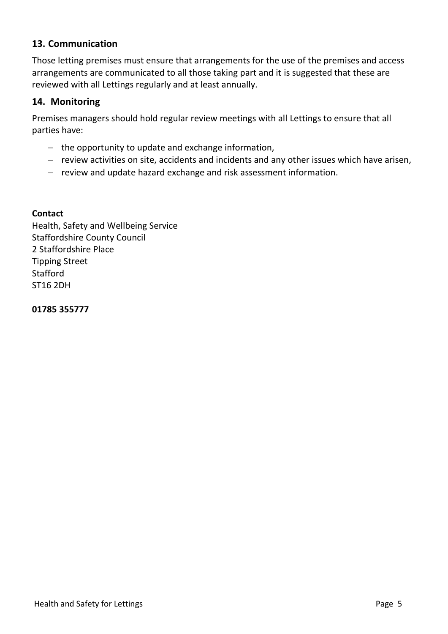#### **13. Communication**

Those letting premises must ensure that arrangements for the use of the premises and access arrangements are communicated to all those taking part and it is suggested that these are reviewed with all Lettings regularly and at least annually.

#### **14. Monitoring**

Premises managers should hold regular review meetings with all Lettings to ensure that all parties have:

- − the opportunity to update and exchange information,
- − review activities on site, accidents and incidents and any other issues which have arisen,
- − review and update hazard exchange and risk assessment information.

#### **Contact**

Health, Safety and Wellbeing Service Staffordshire County Council 2 Staffordshire Place Tipping Street Stafford ST16 2DH

**01785 355777**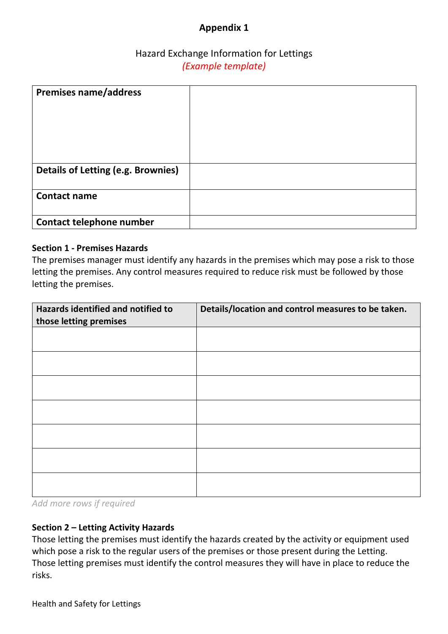### **Appendix 1**

#### Hazard Exchange Information for Lettings *(Example template)*

| <b>Premises name/address</b>              |  |
|-------------------------------------------|--|
| <b>Details of Letting (e.g. Brownies)</b> |  |
| <b>Contact name</b>                       |  |
| Contact telephone number                  |  |

#### **Section 1 - Premises Hazards**

The premises manager must identify any hazards in the premises which may pose a risk to those letting the premises. Any control measures required to reduce risk must be followed by those letting the premises.

| Hazards identified and notified to<br>those letting premises | Details/location and control measures to be taken. |
|--------------------------------------------------------------|----------------------------------------------------|
|                                                              |                                                    |
|                                                              |                                                    |
|                                                              |                                                    |
|                                                              |                                                    |
|                                                              |                                                    |
|                                                              |                                                    |
|                                                              |                                                    |

*Add more rows if required*

#### **Section 2 – Letting Activity Hazards**

Those letting the premises must identify the hazards created by the activity or equipment used which pose a risk to the regular users of the premises or those present during the Letting. Those letting premises must identify the control measures they will have in place to reduce the risks.